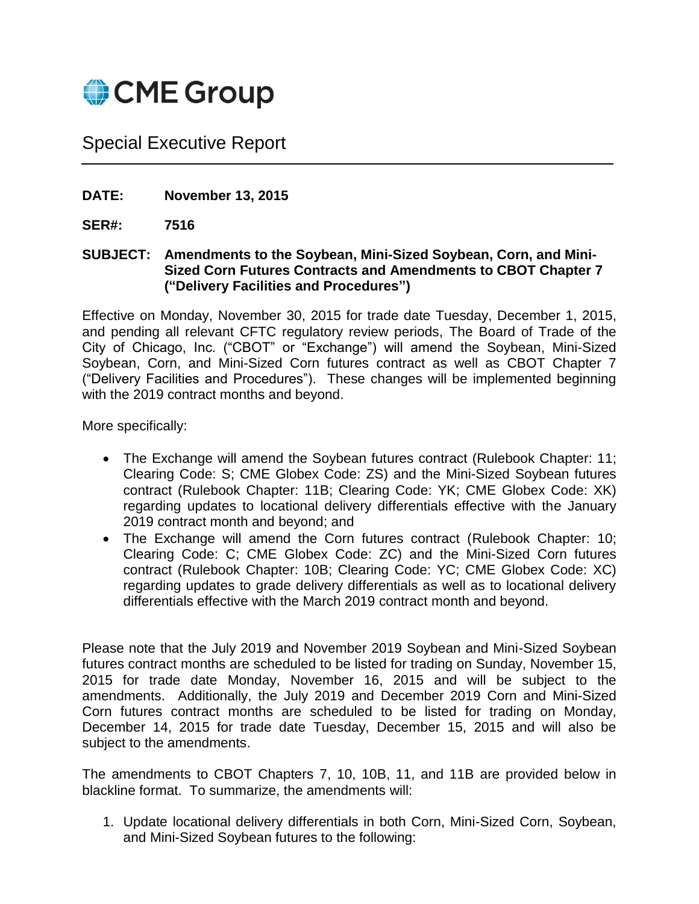

# Special Executive Report

**DATE: November 13, 2015**

**SER#: 7516**

**SUBJECT: Amendments to the Soybean, Mini-Sized Soybean, Corn, and Mini-Sized Corn Futures Contracts and Amendments to CBOT Chapter 7 ("Delivery Facilities and Procedures")**

Effective on Monday, November 30, 2015 for trade date Tuesday, December 1, 2015, and pending all relevant CFTC regulatory review periods, The Board of Trade of the City of Chicago, Inc. ("CBOT" or "Exchange") will amend the Soybean, Mini-Sized Soybean, Corn, and Mini-Sized Corn futures contract as well as CBOT Chapter 7 ("Delivery Facilities and Procedures"). These changes will be implemented beginning with the 2019 contract months and beyond.

More specifically:

- The Exchange will amend the Soybean futures contract (Rulebook Chapter: 11; Clearing Code: S; CME Globex Code: ZS) and the Mini-Sized Soybean futures contract (Rulebook Chapter: 11B; Clearing Code: YK; CME Globex Code: XK) regarding updates to locational delivery differentials effective with the January 2019 contract month and beyond; and
- The Exchange will amend the Corn futures contract (Rulebook Chapter: 10; Clearing Code: C; CME Globex Code: ZC) and the Mini-Sized Corn futures contract (Rulebook Chapter: 10B; Clearing Code: YC; CME Globex Code: XC) regarding updates to grade delivery differentials as well as to locational delivery differentials effective with the March 2019 contract month and beyond.

Please note that the July 2019 and November 2019 Soybean and Mini-Sized Soybean futures contract months are scheduled to be listed for trading on Sunday, November 15, 2015 for trade date Monday, November 16, 2015 and will be subject to the amendments. Additionally, the July 2019 and December 2019 Corn and Mini-Sized Corn futures contract months are scheduled to be listed for trading on Monday, December 14, 2015 for trade date Tuesday, December 15, 2015 and will also be subject to the amendments.

The amendments to CBOT Chapters 7, 10, 10B, 11, and 11B are provided below in blackline format. To summarize, the amendments will:

1. Update locational delivery differentials in both Corn, Mini-Sized Corn, Soybean, and Mini-Sized Soybean futures to the following: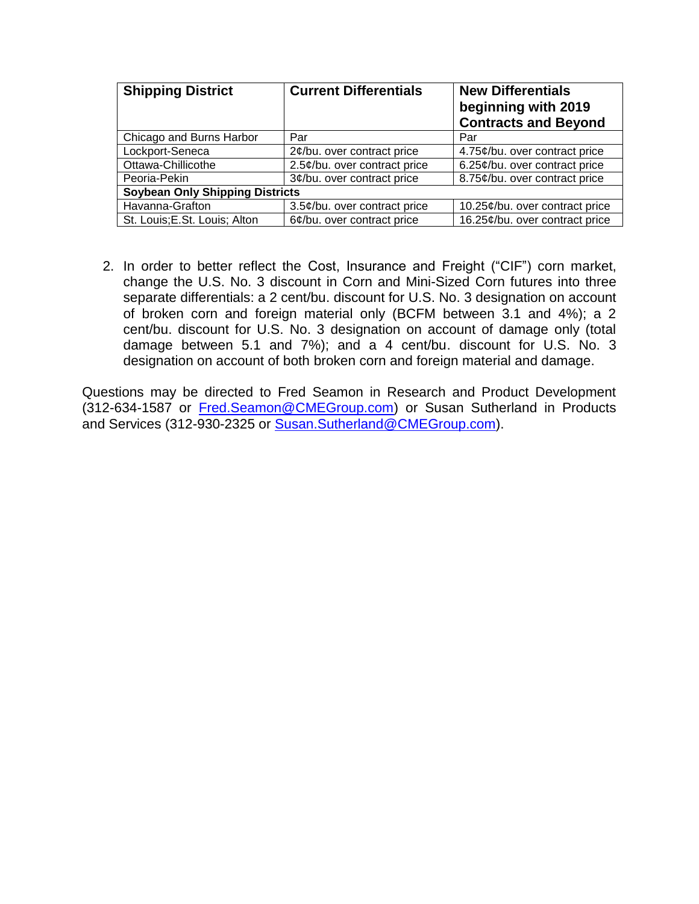| <b>Shipping District</b>               | <b>Current Differentials</b>  | <b>New Differentials</b><br>beginning with 2019<br><b>Contracts and Beyond</b> |  |  |  |  |
|----------------------------------------|-------------------------------|--------------------------------------------------------------------------------|--|--|--|--|
| Chicago and Burns Harbor               | Par                           | Par                                                                            |  |  |  |  |
| Lockport-Seneca                        | $2¢$ /bu. over contract price | 4.75¢/bu. over contract price                                                  |  |  |  |  |
| Ottawa-Chillicothe                     | 2.5¢/bu. over contract price  | 6.25¢/bu. over contract price                                                  |  |  |  |  |
| Peoria-Pekin                           | 3¢/bu. over contract price    | 8.75¢/bu. over contract price                                                  |  |  |  |  |
| <b>Soybean Only Shipping Districts</b> |                               |                                                                                |  |  |  |  |
| Havanna-Grafton                        | 3.5¢/bu. over contract price  | 10.25¢/bu. over contract price                                                 |  |  |  |  |
| St. Louis; E.St. Louis; Alton          | 6¢/bu. over contract price    | 16.25¢/bu. over contract price                                                 |  |  |  |  |

2. In order to better reflect the Cost, Insurance and Freight ("CIF") corn market, change the U.S. No. 3 discount in Corn and Mini-Sized Corn futures into three separate differentials: a 2 cent/bu. discount for U.S. No. 3 designation on account of broken corn and foreign material only (BCFM between 3.1 and 4%); a 2 cent/bu. discount for U.S. No. 3 designation on account of damage only (total damage between 5.1 and 7%); and a 4 cent/bu. discount for U.S. No. 3 designation on account of both broken corn and foreign material and damage.

Questions may be directed to Fred Seamon in Research and Product Development (312-634-1587 or [Fred.Seamon@CMEGroup.com\)](mailto:Fred.Seamon@CMEGroup.com) or Susan Sutherland in Products and Services (312-930-2325 or [Susan.Sutherland@CMEGroup.com\)](mailto:Susan.Sutherland@CMEGroup.com).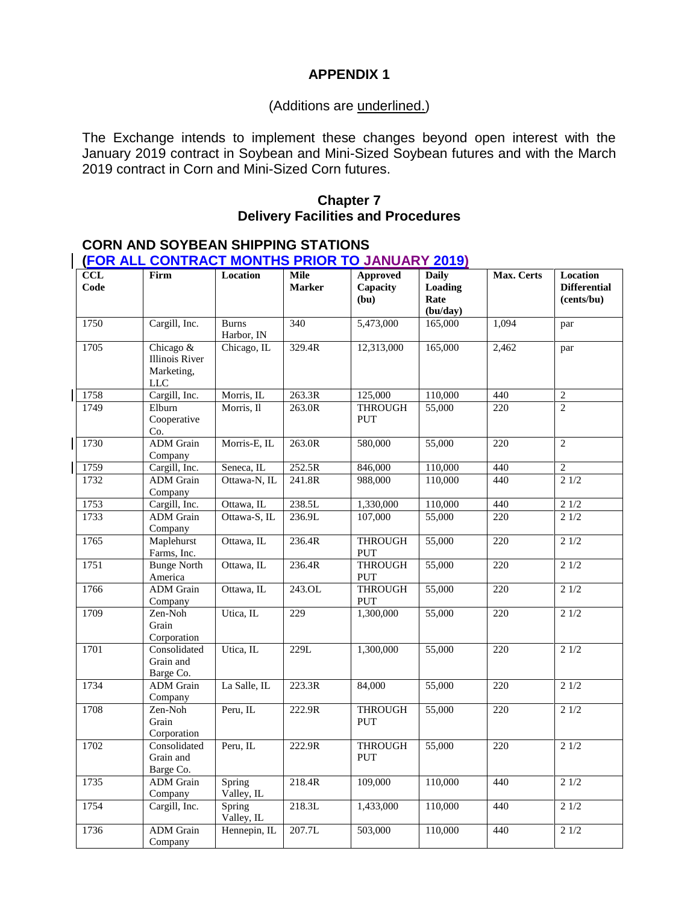# **APPENDIX 1**

#### (Additions are underlined.)

The Exchange intends to implement these changes beyond open interest with the January 2019 contract in Soybean and Mini-Sized Soybean futures and with the March 2019 contract in Corn and Mini-Sized Corn futures.

#### **Chapter 7 Delivery Facilities and Procedures**

#### **CORN AND SOYBEAN SHIPPING STATIONS (FOR ALL CONTRACT MONTHS PRIOR TO JANUARY 2019)**

| CCL<br>Code | Firm                                                    | Location                   | <b>Mile</b><br><b>Marker</b> | Approved<br>Capacity<br>(bu) | <b>Daily</b><br>Loading<br>Rate<br>(bu/day) | Max. Certs | Location<br><b>Differential</b><br>(cents/bu) |
|-------------|---------------------------------------------------------|----------------------------|------------------------------|------------------------------|---------------------------------------------|------------|-----------------------------------------------|
| 1750        | Cargill, Inc.                                           | <b>Burns</b><br>Harbor, IN | 340                          | 5,473,000                    | 165,000                                     | 1,094      | par                                           |
| 1705        | Chicago &<br>Illinois River<br>Marketing,<br><b>LLC</b> | Chicago, IL                | 329.4R                       | 12,313,000                   | 165,000                                     | 2,462      | par                                           |
| 1758        | Cargill, Inc.                                           | Morris, IL                 | 263.3R                       | 125,000                      | 110,000                                     | 440        | $\overline{2}$                                |
| 1749        | Elburn<br>Cooperative<br>Co.                            | Morris, Il                 | 263.0R                       | <b>THROUGH</b><br><b>PUT</b> | 55,000                                      | 220        | $\overline{2}$                                |
| 1730        | <b>ADM</b> Grain<br>Company                             | Morris-E, IL               | 263.0R                       | 580,000                      | 55,000                                      | 220        | $\overline{2}$                                |
| 1759        | Cargill, Inc.                                           | Seneca, IL                 | 252.5R                       | 846,000                      | 110,000                                     | 440        | $\overline{2}$                                |
| 1732        | <b>ADM</b> Grain<br>Company                             | Ottawa-N, IL               | 241.8R                       | 988,000                      | 110,000                                     | 440        | 21/2                                          |
| 1753        | Cargill, Inc.                                           | Ottawa, IL                 | 238.5L                       | 1,330,000                    | 110,000                                     | 440        | 21/2                                          |
| 1733        | <b>ADM</b> Grain<br>Company                             | Ottawa-S, IL               | 236.9L                       | 107,000                      | 55,000                                      | 220        | 21/2                                          |
| 1765        | Maplehurst<br>Farms, Inc.                               | Ottawa, IL                 | 236.4R                       | <b>THROUGH</b><br>PUT        | 55,000                                      | 220        | 21/2                                          |
| 1751        | <b>Bunge North</b><br>America                           | Ottawa, IL                 | 236.4R                       | <b>THROUGH</b><br>PUT        | 55,000                                      | 220        | 21/2                                          |
| 1766        | <b>ADM</b> Grain<br>Company                             | Ottawa, IL                 | 243.0L                       | <b>THROUGH</b><br>PUT        | 55,000                                      | 220        | 21/2                                          |
| 1709        | Zen-Noh<br>Grain<br>Corporation                         | Utica, IL                  | 229                          | 1,300,000                    | 55,000                                      | 220        | 21/2                                          |
| 1701        | Consolidated<br>Grain and<br>Barge Co.                  | Utica, IL                  | 229L                         | 1,300,000                    | 55,000                                      | 220        | 21/2                                          |
| 1734        | <b>ADM</b> Grain<br>Company                             | La Salle, IL               | 223.3R                       | 84,000                       | 55,000                                      | 220        | 21/2                                          |
| 1708        | Zen-Noh<br>Grain<br>Corporation                         | Peru, IL                   | 222.9R                       | <b>THROUGH</b><br>PUT        | 55,000                                      | 220        | 21/2                                          |
| 1702        | Consolidated<br>Grain and<br>Barge Co.                  | Peru, IL                   | 222.9R                       | <b>THROUGH</b><br>PUT        | 55,000                                      | 220        | 21/2                                          |
| 1735        | <b>ADM</b> Grain<br>Company                             | Spring<br>Valley, IL       | 218.4R                       | 109,000                      | 110,000                                     | 440        | 21/2                                          |
| 1754        | Cargill, Inc.                                           | Spring<br>Valley, IL       | 218.3L                       | 1,433,000                    | 110,000                                     | 440        | 21/2                                          |
| 1736        | <b>ADM</b> Grain<br>Company                             | Hennepin, IL               | 207.7L                       | 503,000                      | 110,000                                     | 440        | 21/2                                          |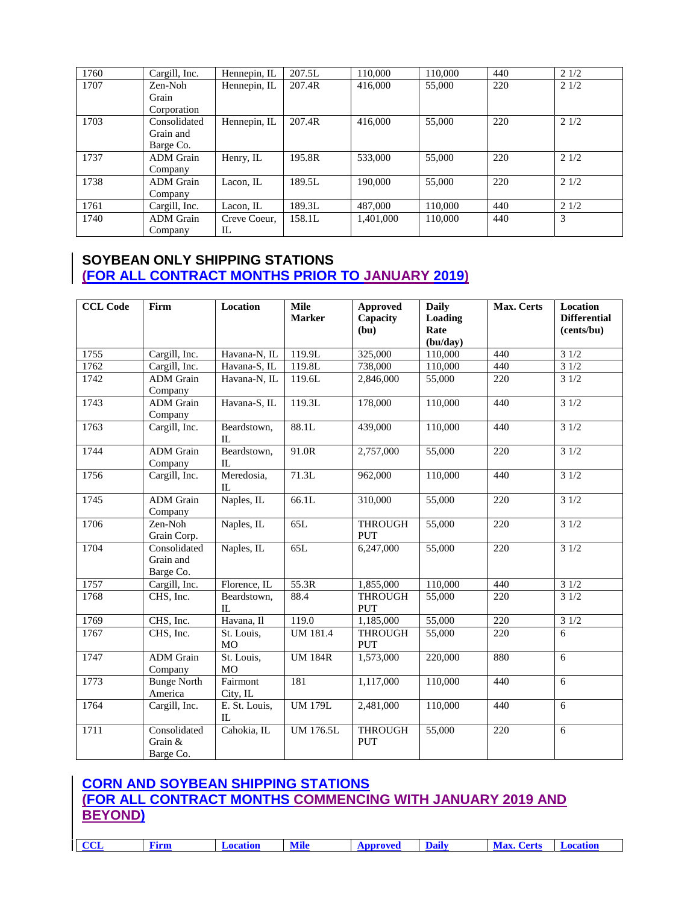| 1760 | Cargill, Inc.    | Hennepin, IL | 207.5L | 110,000   | 110,000 | 440 | 21/2 |
|------|------------------|--------------|--------|-----------|---------|-----|------|
| 1707 | Zen-Noh          | Hennepin, IL | 207.4R | 416,000   | 55,000  | 220 | 21/2 |
|      | Grain            |              |        |           |         |     |      |
|      | Corporation      |              |        |           |         |     |      |
| 1703 | Consolidated     | Hennepin, IL | 207.4R | 416,000   | 55,000  | 220 | 21/2 |
|      | Grain and        |              |        |           |         |     |      |
|      | Barge Co.        |              |        |           |         |     |      |
| 1737 | <b>ADM</b> Grain | Henry, IL    | 195.8R | 533,000   | 55,000  | 220 | 21/2 |
|      | Company          |              |        |           |         |     |      |
| 1738 | <b>ADM</b> Grain | Lacon. IL    | 189.5L | 190,000   | 55,000  | 220 | 21/2 |
|      | Company          |              |        |           |         |     |      |
| 1761 | Cargill, Inc.    | Lacon, IL    | 189.3L | 487,000   | 110,000 | 440 | 21/2 |
| 1740 | <b>ADM</b> Grain | Creve Coeur. | 158.1L | 1.401.000 | 110,000 | 440 | 3    |
|      | Company          | IL           |        |           |         |     |      |

# **SOYBEAN ONLY SHIPPING STATIONS (FOR ALL CONTRACT MONTHS PRIOR TO JANUARY 2019)**

| <b>CCL Code</b> | Firm                                   | Location                | <b>Mile</b><br><b>Marker</b> | <b>Approved</b><br>Capacity<br>(bu) | <b>Daily</b><br>Loading<br>Rate<br>(bu/day) | Max. Certs | Location<br><b>Differential</b><br>(cents/bu) |
|-----------------|----------------------------------------|-------------------------|------------------------------|-------------------------------------|---------------------------------------------|------------|-----------------------------------------------|
| 1755            | Cargill, Inc.                          | Havana-N, IL            | 119.9L                       | 325,000                             | 110,000                                     | 440        | 31/2                                          |
| 1762            | Cargill, Inc.                          | Havana-S, IL            | 119.8L                       | 738,000                             | 110,000                                     | 440        | 31/2                                          |
| 1742            | <b>ADM</b> Grain<br>Company            | Havana-N, IL            | 119.6L                       | 2,846,000                           | 55,000                                      | 220        | 31/2                                          |
| 1743            | <b>ADM</b> Grain<br>Company            | Havana-S, IL            | 119.3L                       | 178,000                             | 110,000                                     | 440        | 31/2                                          |
| 1763            | Cargill, Inc.                          | Beardstown,<br>IL       | 88.1L                        | 439,000                             | 110,000                                     | 440        | 31/2                                          |
| 1744            | <b>ADM</b> Grain<br>Company            | Beardstown,<br>$\Pi$ .  | 91.0R                        | 2,757,000                           | 55,000                                      | 220        | 31/2                                          |
| 1756            | Cargill, Inc.                          | Meredosia,<br>$\Pi$ .   | 71.3L                        | 962,000                             | 110,000                                     | 440        | 31/2                                          |
| 1745            | <b>ADM</b> Grain<br>Company            | Naples, IL              | 66.1L                        | 310,000                             | 55,000                                      | 220        | 31/2                                          |
| 1706            | Zen-Noh<br>Grain Corp.                 | Naples, IL              | 65L                          | <b>THROUGH</b><br><b>PUT</b>        | 55,000                                      | 220        | 31/2                                          |
| 1704            | Consolidated<br>Grain and<br>Barge Co. | Naples, IL              | 65L                          | 6,247,000                           | 55,000                                      | 220        | 31/2                                          |
| 1757            | Cargill, Inc.                          | Florence, IL            | 55.3R                        | 1,855,000                           | 110,000                                     | 440        | 31/2                                          |
| 1768            | CHS, Inc.                              | Beardstown,<br>$\Pi$ .  | 88.4                         | <b>THROUGH</b><br><b>PUT</b>        | 55,000                                      | 220        | 31/2                                          |
| 1769            | CHS, Inc.                              | Havana, Il              | 119.0                        | 1,185,000                           | 55,000                                      | 220        | 31/2                                          |
| 1767            | CHS, Inc.                              | St. Louis,<br><b>MO</b> | <b>UM 181.4</b>              | <b>THROUGH</b><br><b>PUT</b>        | 55,000                                      | 220        | 6                                             |
| 1747            | <b>ADM</b> Grain<br>Company            | St. Louis,<br><b>MO</b> | <b>UM 184R</b>               | 1,573,000                           | 220,000                                     | 880        | 6                                             |
| 1773            | <b>Bunge North</b><br>America          | Fairmont<br>City, IL    | 181                          | 1.117.000                           | 110,000                                     | 440        | 6                                             |
| 1764            | Cargill, Inc.                          | E. St. Louis,<br>IL     | <b>UM 179L</b>               | 2,481,000                           | 110,000                                     | 440        | 6                                             |
| 1711            | Consolidated<br>Grain &<br>Barge Co.   | Cahokia, IL             | <b>UM 176.5L</b>             | <b>THROUGH</b><br><b>PUT</b>        | 55,000                                      | 220        | 6                                             |

# **CORN AND SOYBEAN SHIPPING STATIONS (FOR ALL CONTRACT MONTHS COMMENCING WITH JANUARY 2019 AND BEYOND)**

| $ $ CCL<br><b>Mile</b><br>Daily<br><b>Max. Certs</b><br><b>Location</b><br><b>⊥ocation</b><br>Approved<br>'ırm |
|----------------------------------------------------------------------------------------------------------------|
|----------------------------------------------------------------------------------------------------------------|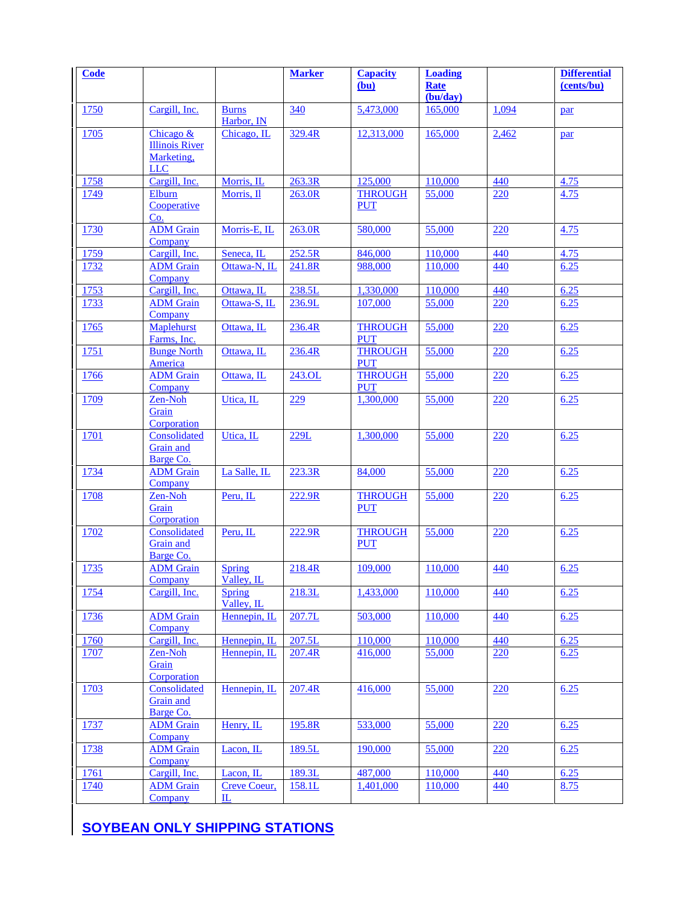| Code         |                                               |                             | <b>Marker</b> | <b>Capacity</b>              | <b>Loading</b>                |       | <b>Differential</b> |
|--------------|-----------------------------------------------|-----------------------------|---------------|------------------------------|-------------------------------|-------|---------------------|
|              |                                               |                             |               | (bu)                         | Rate<br>$\overline{(bu/day)}$ |       | (cents/bu)          |
| 1750         | Cargill, Inc.                                 | <b>Burns</b><br>Harbor, IN  | 340           | 5,473,000                    | 165,000                       | 1,094 | par                 |
| 1705         | Chicago &                                     | Chicago, IL                 | 329.4R        | 12,313,000                   | 165,000                       | 2,462 | par                 |
|              | <b>Illinois River</b><br>Marketing,           |                             |               |                              |                               |       |                     |
|              | <b>LLC</b>                                    |                             |               |                              |                               |       |                     |
| 1758<br>1749 | Cargill, Inc.<br>Elburn                       | Morris, IL                  | 263.3R        | 125,000<br><b>THROUGH</b>    | 110,000<br>55,000             | 440   | 4.75                |
|              | Cooperative<br>Co.                            | Morris, Il                  | 263.0R        | <b>PUT</b>                   |                               | 220   | 4.75                |
| 1730         | <b>ADM</b> Grain<br>Company                   | Morris-E, IL                | 263.0R        | 580,000                      | 55,000                        | 220   | 4.75                |
| 1759         | Cargill, Inc.                                 | Seneca, IL                  | 252.5R        | 846,000                      | 110,000                       | 440   | 4.75                |
| <u>1732</u>  | <b>ADM</b> Grain<br>Company                   | Ottawa-N, IL                | 241.8R        | 988,000                      | 110,000                       | 440   | 6.25                |
| 1753         | Cargill, Inc.                                 | Ottawa, IL                  | 238.5L        | 1,330,000                    | 110,000                       | 440   | 6.25                |
| 1733         | <b>ADM</b> Grain<br>Company                   | Ottawa-S, IL                | 236.9L        | 107,000                      | 55,000                        | 220   | 6.25                |
| 1765         | Maplehurst<br>Farms, Inc.                     | Ottawa, IL                  | 236.4R        | <b>THROUGH</b><br><b>PUT</b> | 55,000                        | 220   | 6.25                |
| 1751         | <b>Bunge North</b><br><b>America</b>          | Ottawa, IL                  | 236.4R        | <b>THROUGH</b><br><b>PUT</b> | 55,000                        | 220   | 6.25                |
| 1766         | <b>ADM</b> Grain<br>Company                   | Ottawa, IL                  | 243.OL        | <b>THROUGH</b><br><b>PUT</b> | 55,000                        | 220   | 6.25                |
| 1709         | Zen-Noh<br>Grain                              | Utica, IL                   | 229           | 1,300,000                    | 55,000                        | 220   | 6.25                |
|              | Corporation                                   |                             |               |                              |                               |       |                     |
| 1701         | Consolidated                                  | Utica, IL                   | 229L          | 1,300,000                    | 55,000                        | 220   | 6.25                |
|              | Grain and<br>Barge Co.                        |                             |               |                              |                               |       |                     |
| 1734         | <b>ADM</b> Grain<br>Company                   | La Salle, IL                | 223.3R        | 84,000                       | 55,000                        | 220   | 6.25                |
| 1708         | Zen-Noh<br>Grain                              | Peru, IL                    | 222.9R        | <b>THROUGH</b><br><b>PUT</b> | 55,000                        | 220   | 6.25                |
|              | Corporation                                   |                             |               |                              |                               |       |                     |
| 1702         | Consolidated<br><b>Grain</b> and<br>Barge Co. | Peru, IL                    | 222.9R        | <b>THROUGH</b><br><b>PUT</b> | 55,000                        | 220   | 6.25                |
| 1735         | <b>ADM</b> Grain                              | <b>Spring</b>               | 218.4R        | 109,000                      | 110,000                       | 440   | 6.25                |
|              | Company                                       | Valley, IL                  |               |                              |                               |       |                     |
| 1754         | Cargill, Inc.                                 | <b>Spring</b><br>Valley, IL | 218.3L        | 1,433,000                    | 110,000                       | 440   | 6.25                |
| 1736         | <b>ADM</b> Grain<br>Company                   | Hennepin, IL                | 207.7L        | 503,000                      | 110,000                       | 440   | 6.25                |
| 1760         | Cargill, Inc.                                 | Hennepin, IL                | 207.5L        | 110,000                      | 110,000                       | 440   | 6.25                |
| 1707         | Zen-Noh<br>Grain<br>Corporation               | Hennepin, IL                | 207.4R        | 416,000                      | 55,000                        | 220   | 6.25                |
| 1703         | Consolidated                                  | Hennepin, IL                | 207.4R        | 416,000                      | 55,000                        | 220   | 6.25                |
|              | Grain and<br>Barge Co.                        |                             |               |                              |                               |       |                     |
| 1737         | <b>ADM</b> Grain<br>Company                   | Henry, IL                   | 195.8R        | 533,000                      | 55,000                        | 220   | 6.25                |
| 1738         | <b>ADM</b> Grain<br>Company                   | Lacon, IL                   | 189.5L        | 190,000                      | 55,000                        | 220   | 6.25                |
| 1761         | Cargill, Inc.                                 | Lacon, IL                   | 189.3L        | 487,000                      | 110,000                       | 440   | 6.25                |
| <u>1740</u>  | <b>ADM</b> Grain                              | Creve Coeur,                | 158.1L        | 1,401,000                    | 110,000                       | 440   | 8.75                |
|              | Company                                       | 匹                           |               |                              |                               |       |                     |

**SOYBEAN ONLY SHIPPING STATIONS**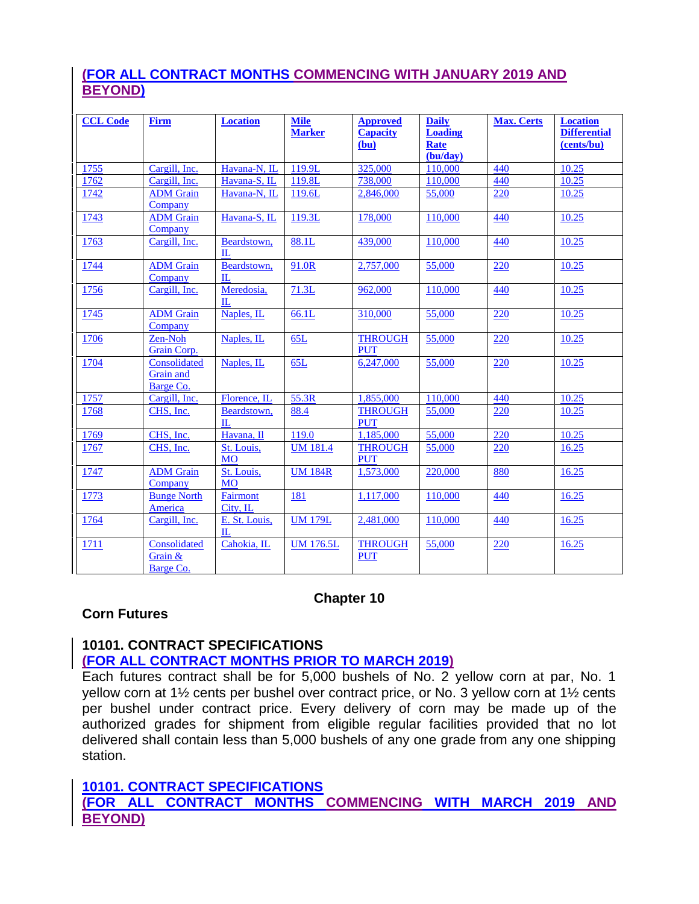# **(FOR ALL CONTRACT MONTHS COMMENCING WITH JANUARY 2019 AND BEYOND)**

| <b>CCL Code</b> | <b>Firm</b>                            | <b>Location</b>               | <b>Mile</b><br><b>Marker</b> | <b>Approved</b><br><b>Capacity</b><br>(bu) | <b>Daily</b><br><b>Loading</b><br>Rate | <b>Max. Certs</b> | <b>Location</b><br><b>Differential</b><br>(cents/bu) |
|-----------------|----------------------------------------|-------------------------------|------------------------------|--------------------------------------------|----------------------------------------|-------------------|------------------------------------------------------|
|                 |                                        |                               |                              |                                            | (bu/day)                               |                   |                                                      |
| 1755            | Cargill, Inc.                          | Havana-N, IL                  | 119.9L                       | 325,000                                    | 110,000                                | 440               | 10.25                                                |
| 1762            | Cargill, Inc.                          | Havana-S, IL                  | 119.8L                       | 738,000                                    | 110,000                                | 440               | 10.25                                                |
| 1742            | <b>ADM</b> Grain<br>Company            | Havana-N, IL                  | 119.6L                       | 2,846,000                                  | 55,000                                 | 220               | 10.25                                                |
| 1743            | <b>ADM</b> Grain<br>Company            | Havana-S, IL                  | 119.3L                       | 178,000                                    | 110,000                                | 440               | 10.25                                                |
| 1763            | Cargill, Inc.                          | Beardstown,<br>$\Pi$ .        | 88.1L                        | 439,000                                    | 110,000                                | 440               | 10.25                                                |
| 1744            | <b>ADM</b> Grain<br>Company            | Beardstown,<br>IL             | 91.0R                        | 2,757,000                                  | 55,000                                 | 220               | 10.25                                                |
| 1756            | Cargill, Inc.                          | Meredosia,<br>$\Pi$ .         | 71.3L                        | 962,000                                    | 110,000                                | 440               | 10.25                                                |
| 1745            | <b>ADM</b> Grain<br>Company            | Naples, IL                    | 66.1L                        | 310,000                                    | 55,000                                 | 220               | 10.25                                                |
| 1706            | Zen-Noh<br>Grain Corp.                 | Naples, IL                    | 65L                          | <b>THROUGH</b><br><b>PUT</b>               | 55,000                                 | 220               | 10.25                                                |
| 1704            | Consolidated<br>Grain and<br>Barge Co. | Naples, IL                    | 65L                          | 6,247,000                                  | 55,000                                 | 220               | 10.25                                                |
| 1757            | Cargill, Inc.                          | Florence, IL                  | 55.3R                        | 1,855,000                                  | 110,000                                | 440               | 10.25                                                |
| 1768            | CHS, Inc.                              | Beardstown,<br>$\Pi$ .        | 88.4                         | <b>THROUGH</b><br><b>PUT</b>               | 55,000                                 | 220               | 10.25                                                |
| 1769            | CHS. Inc.                              | Havana, Il                    | 119.0                        | 1.185,000                                  | 55,000                                 | 220               | 10.25                                                |
| 1767            | CHS, Inc.                              | St. Louis,<br><b>MO</b>       | <b>UM 181.4</b>              | <b>THROUGH</b><br><b>PUT</b>               | 55,000                                 | 220               | 16.25                                                |
| 1747            | <b>ADM</b> Grain<br>Company            | St. Louis,<br><b>MO</b>       | <b>UM 184R</b>               | 1,573,000                                  | 220,000                                | 880               | 16.25                                                |
| 1773            | <b>Bunge North</b><br>America          | <b>Fairmont</b><br>City, IL   | 181                          | 1,117,000                                  | 110,000                                | 440               | 16.25                                                |
| 1764            | Cargill, Inc.                          | E. St. Louis,<br>$\mathbb{L}$ | <b>UM 179L</b>               | 2,481,000                                  | 110,000                                | <u>440</u>        | 16.25                                                |
| 1711            | Consolidated<br>Grain &<br>Barge Co.   | Cahokia, IL                   | <b>UM 176.5L</b>             | <b>THROUGH</b><br><b>PUT</b>               | 55,000                                 | 220               | 16.25                                                |

# **Chapter 10**

# **Corn Futures**

# **10101. CONTRACT SPECIFICATIONS**

#### **(FOR ALL CONTRACT MONTHS PRIOR TO MARCH 2019)**

Each futures contract shall be for 5,000 bushels of No. 2 yellow corn at par, No. 1 yellow corn at 1½ cents per bushel over contract price, or No. 3 yellow corn at 1½ cents per bushel under contract price. Every delivery of corn may be made up of the authorized grades for shipment from eligible regular facilities provided that no lot delivered shall contain less than 5,000 bushels of any one grade from any one shipping station.

#### **10101. CONTRACT SPECIFICATIONS**

**(FOR ALL CONTRACT MONTHS COMMENCING WITH MARCH 2019 AND BEYOND)**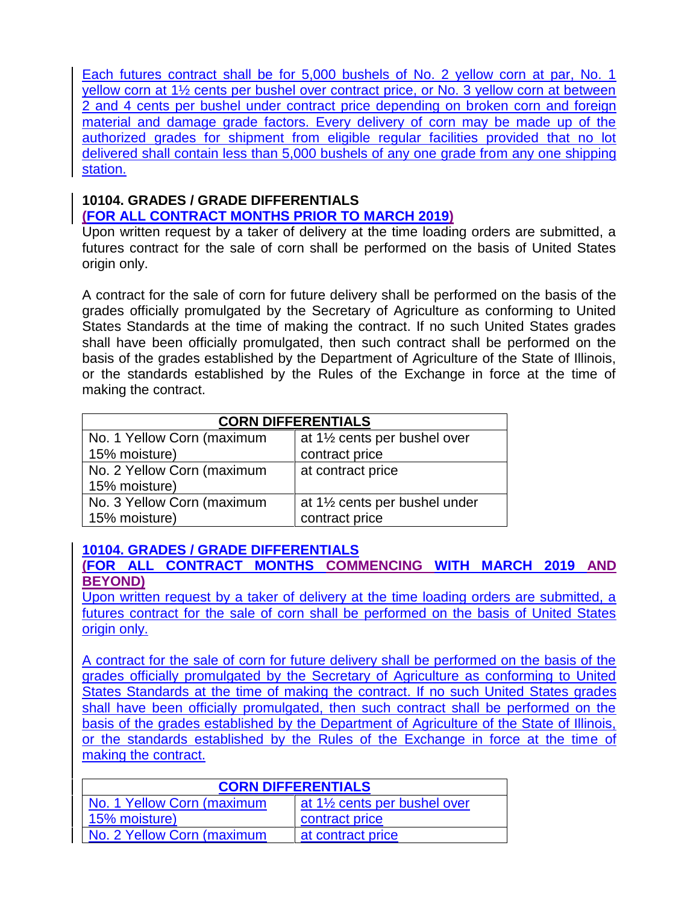Each futures contract shall be for 5,000 bushels of No. 2 yellow corn at par, No. 1 yellow corn at 1½ cents per bushel over contract price, or No. 3 yellow corn at between 2 and 4 cents per bushel under contract price depending on broken corn and foreign material and damage grade factors. Every delivery of corn may be made up of the authorized grades for shipment from eligible regular facilities provided that no lot delivered shall contain less than 5,000 bushels of any one grade from any one shipping station.

# **10104. GRADES / GRADE DIFFERENTIALS (FOR ALL CONTRACT MONTHS PRIOR TO MARCH 2019)**

Upon written request by a taker of delivery at the time loading orders are submitted, a futures contract for the sale of corn shall be performed on the basis of United States origin only.

A contract for the sale of corn for future delivery shall be performed on the basis of the grades officially promulgated by the Secretary of Agriculture as conforming to United States Standards at the time of making the contract. If no such United States grades shall have been officially promulgated, then such contract shall be performed on the basis of the grades established by the Department of Agriculture of the State of Illinois, or the standards established by the Rules of the Exchange in force at the time of making the contract.

| <b>CORN DIFFERENTIALS</b>  |                                                         |  |  |  |  |  |
|----------------------------|---------------------------------------------------------|--|--|--|--|--|
| No. 1 Yellow Corn (maximum | at 1 <sup>1</sup> / <sub>2</sub> cents per bushel over  |  |  |  |  |  |
| 15% moisture)              | contract price                                          |  |  |  |  |  |
| No. 2 Yellow Corn (maximum | at contract price                                       |  |  |  |  |  |
| 15% moisture)              |                                                         |  |  |  |  |  |
| No. 3 Yellow Corn (maximum | at 1 <sup>1</sup> / <sub>2</sub> cents per bushel under |  |  |  |  |  |
| 15% moisture)              | contract price                                          |  |  |  |  |  |

# **10104. GRADES / GRADE DIFFERENTIALS**

**(FOR ALL CONTRACT MONTHS COMMENCING WITH MARCH 2019 AND BEYOND)**

Upon written request by a taker of delivery at the time loading orders are submitted, a futures contract for the sale of corn shall be performed on the basis of United States origin only.

A contract for the sale of corn for future delivery shall be performed on the basis of the grades officially promulgated by the Secretary of Agriculture as conforming to United States Standards at the time of making the contract. If no such United States grades shall have been officially promulgated, then such contract shall be performed on the basis of the grades established by the Department of Agriculture of the State of Illinois, or the standards established by the Rules of the Exchange in force at the time of making the contract.

| <b>CORN DIFFERENTIALS</b>  |                                           |  |  |  |  |
|----------------------------|-------------------------------------------|--|--|--|--|
| No. 1 Yellow Corn (maximum | at 11/ <sub>2</sub> cents per bushel over |  |  |  |  |
| 15% moisture)              | contract price                            |  |  |  |  |
| No. 2 Yellow Corn (maximum | at contract price                         |  |  |  |  |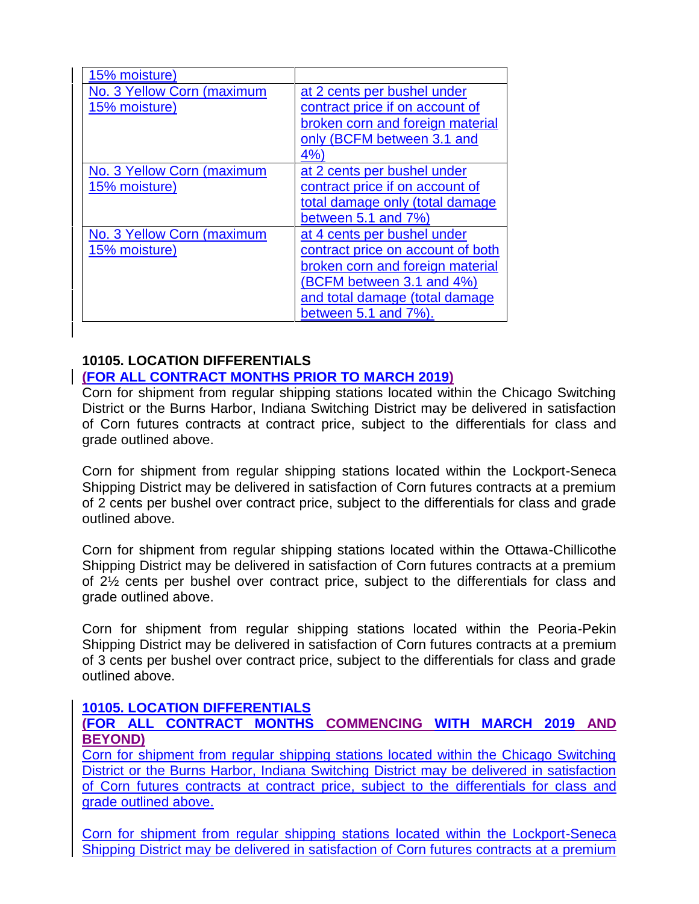| 15% moisture)              |                                   |
|----------------------------|-----------------------------------|
| No. 3 Yellow Corn (maximum | at 2 cents per bushel under       |
| 15% moisture)              | contract price if on account of   |
|                            | broken corn and foreign material  |
|                            | only (BCFM between 3.1 and        |
|                            | 4%                                |
| No. 3 Yellow Corn (maximum | at 2 cents per bushel under       |
| 15% moisture)              | contract price if on account of   |
|                            | total damage only (total damage   |
|                            | between $5.1$ and $7\%$           |
| No. 3 Yellow Corn (maximum | at 4 cents per bushel under       |
| 15% moisture)              | contract price on account of both |
|                            | broken corn and foreign material  |
|                            | (BCFM between 3.1 and 4%)         |
|                            | and total damage (total damage    |
|                            | between $5.1$ and $7\%$ ).        |

#### **10105. LOCATION DIFFERENTIALS**

# **(FOR ALL CONTRACT MONTHS PRIOR TO MARCH 2019)**

Corn for shipment from regular shipping stations located within the Chicago Switching District or the Burns Harbor, Indiana Switching District may be delivered in satisfaction of Corn futures contracts at contract price, subject to the differentials for class and grade outlined above.

Corn for shipment from regular shipping stations located within the Lockport-Seneca Shipping District may be delivered in satisfaction of Corn futures contracts at a premium of 2 cents per bushel over contract price, subject to the differentials for class and grade outlined above.

Corn for shipment from regular shipping stations located within the Ottawa-Chillicothe Shipping District may be delivered in satisfaction of Corn futures contracts at a premium of 2½ cents per bushel over contract price, subject to the differentials for class and grade outlined above.

Corn for shipment from regular shipping stations located within the Peoria-Pekin Shipping District may be delivered in satisfaction of Corn futures contracts at a premium of 3 cents per bushel over contract price, subject to the differentials for class and grade outlined above.

#### **10105. LOCATION DIFFERENTIALS**

# **(FOR ALL CONTRACT MONTHS COMMENCING WITH MARCH 2019 AND BEYOND)**

Corn for shipment from regular shipping stations located within the Chicago Switching District or the Burns Harbor, Indiana Switching District may be delivered in satisfaction of Corn futures contracts at contract price, subject to the differentials for class and grade outlined above.

Corn for shipment from regular shipping stations located within the Lockport-Seneca Shipping District may be delivered in satisfaction of Corn futures contracts at a premium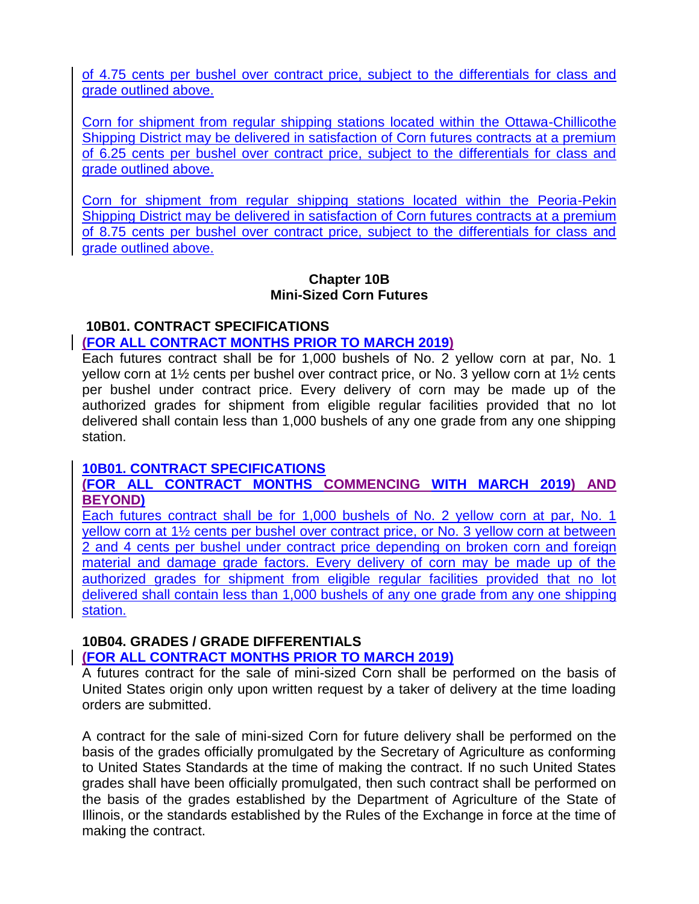of 4.75 cents per bushel over contract price, subject to the differentials for class and grade outlined above.

Corn for shipment from regular shipping stations located within the Ottawa-Chillicothe Shipping District may be delivered in satisfaction of Corn futures contracts at a premium of 6.25 cents per bushel over contract price, subject to the differentials for class and grade outlined above.

Corn for shipment from regular shipping stations located within the Peoria-Pekin Shipping District may be delivered in satisfaction of Corn futures contracts at a premium of 8.75 cents per bushel over contract price, subject to the differentials for class and grade outlined above.

#### **Chapter 10B Mini-Sized Corn Futures**

#### **10B01. CONTRACT SPECIFICATIONS**

#### **(FOR ALL CONTRACT MONTHS PRIOR TO MARCH 2019)**

Each futures contract shall be for 1,000 bushels of No. 2 yellow corn at par, No. 1 yellow corn at 1½ cents per bushel over contract price, or No. 3 yellow corn at 1½ cents per bushel under contract price. Every delivery of corn may be made up of the authorized grades for shipment from eligible regular facilities provided that no lot delivered shall contain less than 1,000 bushels of any one grade from any one shipping station.

#### **10B01. CONTRACT SPECIFICATIONS**

#### **(FOR ALL CONTRACT MONTHS COMMENCING WITH MARCH 2019) AND BEYOND)**

Each futures contract shall be for 1,000 bushels of No. 2 yellow corn at par, No. 1 yellow corn at 1½ cents per bushel over contract price, or No. 3 yellow corn at between 2 and 4 cents per bushel under contract price depending on broken corn and foreign material and damage grade factors. Every delivery of corn may be made up of the authorized grades for shipment from eligible regular facilities provided that no lot delivered shall contain less than 1,000 bushels of any one grade from any one shipping station.

# **10B04. GRADES / GRADE DIFFERENTIALS**

# **(FOR ALL CONTRACT MONTHS PRIOR TO MARCH 2019)**

A futures contract for the sale of mini-sized Corn shall be performed on the basis of United States origin only upon written request by a taker of delivery at the time loading orders are submitted.

A contract for the sale of mini-sized Corn for future delivery shall be performed on the basis of the grades officially promulgated by the Secretary of Agriculture as conforming to United States Standards at the time of making the contract. If no such United States grades shall have been officially promulgated, then such contract shall be performed on the basis of the grades established by the Department of Agriculture of the State of Illinois, or the standards established by the Rules of the Exchange in force at the time of making the contract.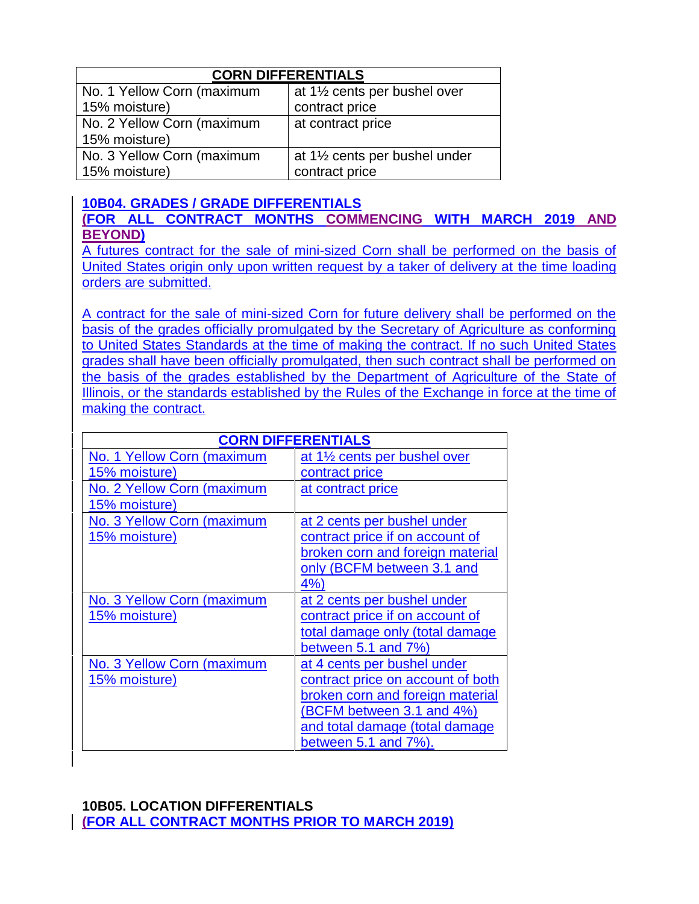| <b>CORN DIFFERENTIALS</b>  |                                          |  |  |  |  |
|----------------------------|------------------------------------------|--|--|--|--|
| No. 1 Yellow Corn (maximum | at 1½ cents per bushel over              |  |  |  |  |
| 15% moisture)              | contract price                           |  |  |  |  |
| No. 2 Yellow Corn (maximum | at contract price                        |  |  |  |  |
| 15% moisture)              |                                          |  |  |  |  |
| No. 3 Yellow Corn (maximum | at $1\frac{1}{2}$ cents per bushel under |  |  |  |  |
| 15% moisture)              | contract price                           |  |  |  |  |

#### **10B04. GRADES / GRADE DIFFERENTIALS (FOR ALL CONTRACT MONTHS COMMENCING WITH MARCH 2019 AND BEYOND)**

A futures contract for the sale of mini-sized Corn shall be performed on the basis of United States origin only upon written request by a taker of delivery at the time loading orders are submitted.

A contract for the sale of mini-sized Corn for future delivery shall be performed on the basis of the grades officially promulgated by the Secretary of Agriculture as conforming to United States Standards at the time of making the contract. If no such United States grades shall have been officially promulgated, then such contract shall be performed on the basis of the grades established by the Department of Agriculture of the State of Illinois, or the standards established by the Rules of the Exchange in force at the time of making the contract.

| <b>CORN DIFFERENTIALS</b>  |                                          |  |  |  |
|----------------------------|------------------------------------------|--|--|--|
| No. 1 Yellow Corn (maximum | at $1\frac{1}{2}$ cents per bushel over  |  |  |  |
| 15% moisture)              | contract price                           |  |  |  |
| No. 2 Yellow Corn (maximum | at contract price                        |  |  |  |
| 15% moisture)              |                                          |  |  |  |
| No. 3 Yellow Corn (maximum | at 2 cents per bushel under              |  |  |  |
| 15% moisture)              | contract price if on account of          |  |  |  |
|                            | broken corn and foreign material         |  |  |  |
|                            | only (BCFM between 3.1 and               |  |  |  |
|                            | 4%                                       |  |  |  |
| No. 3 Yellow Corn (maximum | at 2 cents per bushel under              |  |  |  |
| 15% moisture)              | contract price if on account of          |  |  |  |
|                            | total damage only (total damage          |  |  |  |
|                            | between $5.1$ and $7\%)$                 |  |  |  |
| No. 3 Yellow Corn (maximum | at 4 cents per bushel under              |  |  |  |
| 15% moisture)              | <u>contract price on account of both</u> |  |  |  |
|                            | broken corn and foreign material         |  |  |  |
|                            | (BCFM between 3.1 and 4%)                |  |  |  |
|                            | and total damage (total damage           |  |  |  |
|                            | between $5.1$ and $7\%$ ).               |  |  |  |

# **10B05. LOCATION DIFFERENTIALS (FOR ALL CONTRACT MONTHS PRIOR TO MARCH 2019)**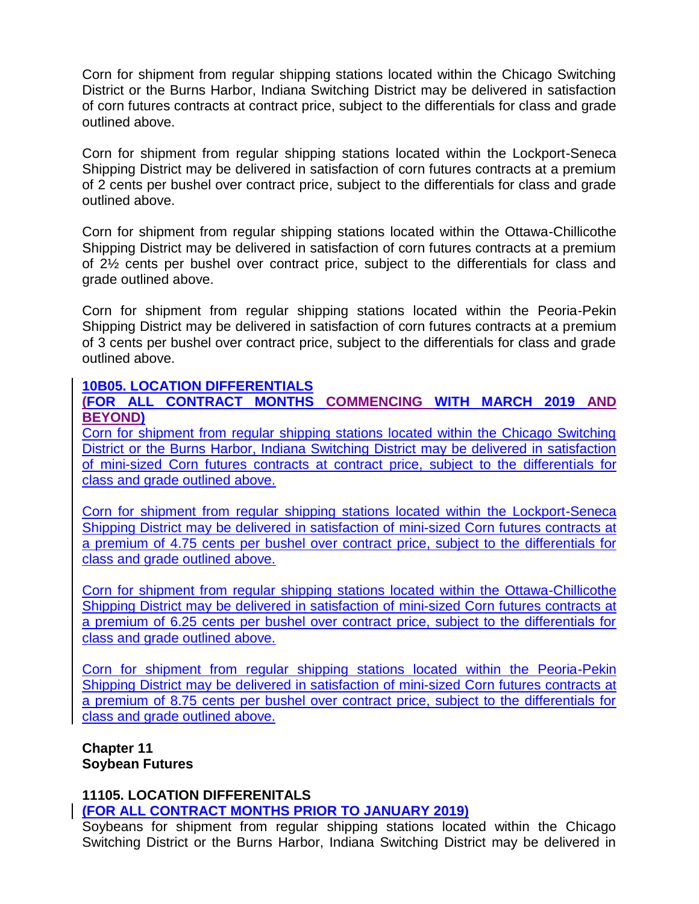Corn for shipment from regular shipping stations located within the Chicago Switching District or the Burns Harbor, Indiana Switching District may be delivered in satisfaction of corn futures contracts at contract price, subject to the differentials for class and grade outlined above.

Corn for shipment from regular shipping stations located within the Lockport-Seneca Shipping District may be delivered in satisfaction of corn futures contracts at a premium of 2 cents per bushel over contract price, subject to the differentials for class and grade outlined above.

Corn for shipment from regular shipping stations located within the Ottawa-Chillicothe Shipping District may be delivered in satisfaction of corn futures contracts at a premium of 2½ cents per bushel over contract price, subject to the differentials for class and grade outlined above.

Corn for shipment from regular shipping stations located within the Peoria-Pekin Shipping District may be delivered in satisfaction of corn futures contracts at a premium of 3 cents per bushel over contract price, subject to the differentials for class and grade outlined above.

#### **10B05. LOCATION DIFFERENTIALS**

#### **(FOR ALL CONTRACT MONTHS COMMENCING WITH MARCH 2019 AND BEYOND)**

Corn for shipment from regular shipping stations located within the Chicago Switching District or the Burns Harbor, Indiana Switching District may be delivered in satisfaction of mini-sized Corn futures contracts at contract price, subject to the differentials for class and grade outlined above.

Corn for shipment from regular shipping stations located within the Lockport-Seneca Shipping District may be delivered in satisfaction of mini-sized Corn futures contracts at a premium of 4.75 cents per bushel over contract price, subject to the differentials for class and grade outlined above.

Corn for shipment from regular shipping stations located within the Ottawa-Chillicothe Shipping District may be delivered in satisfaction of mini-sized Corn futures contracts at a premium of 6.25 cents per bushel over contract price, subject to the differentials for class and grade outlined above.

Corn for shipment from regular shipping stations located within the Peoria-Pekin Shipping District may be delivered in satisfaction of mini-sized Corn futures contracts at a premium of 8.75 cents per bushel over contract price, subject to the differentials for class and grade outlined above.

**Chapter 11 Soybean Futures**

#### **11105. LOCATION DIFFERENITALS (FOR ALL CONTRACT MONTHS PRIOR TO JANUARY 2019)**

Soybeans for shipment from regular shipping stations located within the Chicago Switching District or the Burns Harbor, Indiana Switching District may be delivered in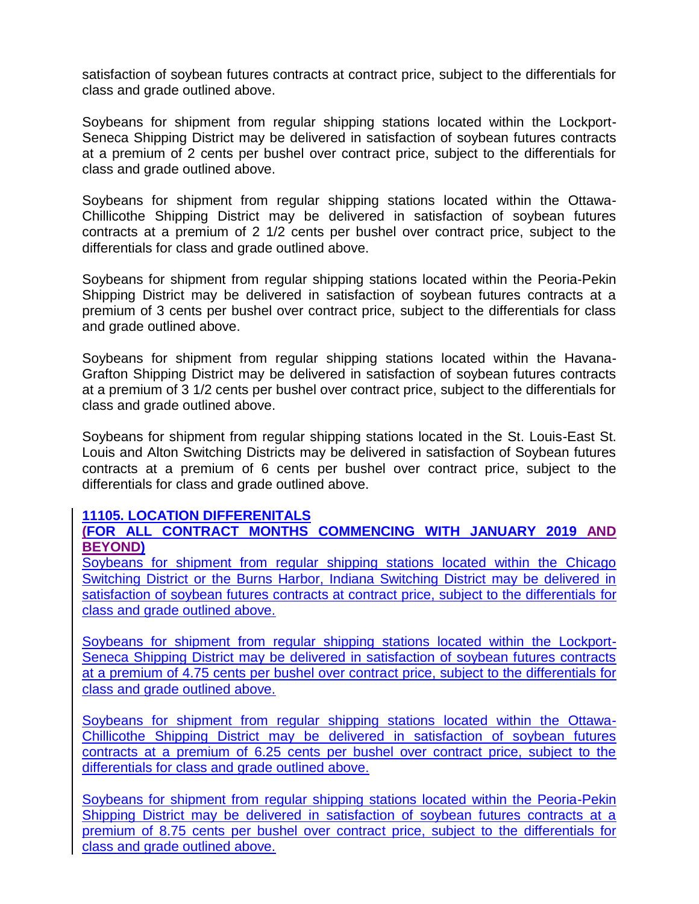satisfaction of soybean futures contracts at contract price, subject to the differentials for class and grade outlined above.

Soybeans for shipment from regular shipping stations located within the Lockport-Seneca Shipping District may be delivered in satisfaction of soybean futures contracts at a premium of 2 cents per bushel over contract price, subject to the differentials for class and grade outlined above.

Soybeans for shipment from regular shipping stations located within the Ottawa-Chillicothe Shipping District may be delivered in satisfaction of soybean futures contracts at a premium of 2 1/2 cents per bushel over contract price, subject to the differentials for class and grade outlined above.

Soybeans for shipment from regular shipping stations located within the Peoria-Pekin Shipping District may be delivered in satisfaction of soybean futures contracts at a premium of 3 cents per bushel over contract price, subject to the differentials for class and grade outlined above.

Soybeans for shipment from regular shipping stations located within the Havana-Grafton Shipping District may be delivered in satisfaction of soybean futures contracts at a premium of 3 1/2 cents per bushel over contract price, subject to the differentials for class and grade outlined above.

Soybeans for shipment from regular shipping stations located in the St. Louis-East St. Louis and Alton Switching Districts may be delivered in satisfaction of Soybean futures contracts at a premium of 6 cents per bushel over contract price, subject to the differentials for class and grade outlined above.

#### **11105. LOCATION DIFFERENITALS**

# **(FOR ALL CONTRACT MONTHS COMMENCING WITH JANUARY 2019 AND BEYOND)**

Soybeans for shipment from regular shipping stations located within the Chicago Switching District or the Burns Harbor, Indiana Switching District may be delivered in satisfaction of soybean futures contracts at contract price, subject to the differentials for class and grade outlined above.

Soybeans for shipment from regular shipping stations located within the Lockport-Seneca Shipping District may be delivered in satisfaction of soybean futures contracts at a premium of 4.75 cents per bushel over contract price, subject to the differentials for class and grade outlined above.

Soybeans for shipment from regular shipping stations located within the Ottawa-Chillicothe Shipping District may be delivered in satisfaction of soybean futures contracts at a premium of 6.25 cents per bushel over contract price, subject to the differentials for class and grade outlined above.

Soybeans for shipment from regular shipping stations located within the Peoria-Pekin Shipping District may be delivered in satisfaction of soybean futures contracts at a premium of 8.75 cents per bushel over contract price, subject to the differentials for class and grade outlined above.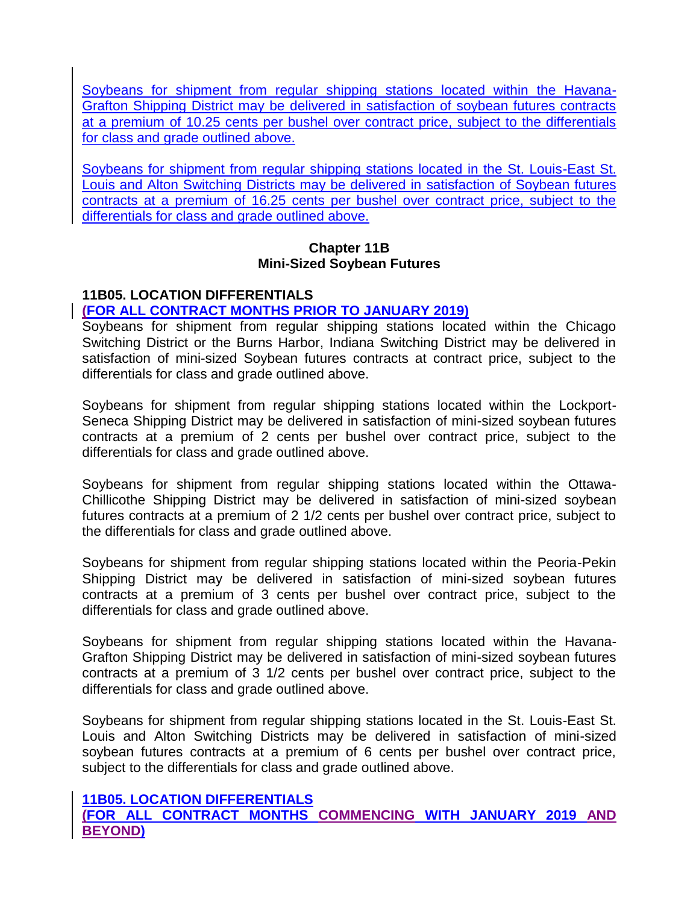Soybeans for shipment from regular shipping stations located within the Havana-Grafton Shipping District may be delivered in satisfaction of soybean futures contracts at a premium of 10.25 cents per bushel over contract price, subject to the differentials for class and grade outlined above.

Soybeans for shipment from regular shipping stations located in the St. Louis-East St. Louis and Alton Switching Districts may be delivered in satisfaction of Soybean futures contracts at a premium of 16.25 cents per bushel over contract price, subject to the differentials for class and grade outlined above.

#### **Chapter 11B Mini-Sized Soybean Futures**

# **11B05. LOCATION DIFFERENTIALS**

# **(FOR ALL CONTRACT MONTHS PRIOR TO JANUARY 2019)**

Soybeans for shipment from regular shipping stations located within the Chicago Switching District or the Burns Harbor, Indiana Switching District may be delivered in satisfaction of mini-sized Soybean futures contracts at contract price, subject to the differentials for class and grade outlined above.

Soybeans for shipment from regular shipping stations located within the Lockport-Seneca Shipping District may be delivered in satisfaction of mini-sized soybean futures contracts at a premium of 2 cents per bushel over contract price, subject to the differentials for class and grade outlined above.

Soybeans for shipment from regular shipping stations located within the Ottawa-Chillicothe Shipping District may be delivered in satisfaction of mini-sized soybean futures contracts at a premium of 2 1/2 cents per bushel over contract price, subject to the differentials for class and grade outlined above.

Soybeans for shipment from regular shipping stations located within the Peoria-Pekin Shipping District may be delivered in satisfaction of mini-sized soybean futures contracts at a premium of 3 cents per bushel over contract price, subject to the differentials for class and grade outlined above.

Soybeans for shipment from regular shipping stations located within the Havana-Grafton Shipping District may be delivered in satisfaction of mini-sized soybean futures contracts at a premium of 3 1/2 cents per bushel over contract price, subject to the differentials for class and grade outlined above.

Soybeans for shipment from regular shipping stations located in the St. Louis-East St. Louis and Alton Switching Districts may be delivered in satisfaction of mini-sized soybean futures contracts at a premium of 6 cents per bushel over contract price, subject to the differentials for class and grade outlined above.

#### **11B05. LOCATION DIFFERENTIALS**

**(FOR ALL CONTRACT MONTHS COMMENCING WITH JANUARY 2019 AND BEYOND)**